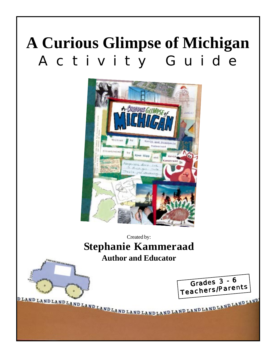# **A Curious Glimpse of Michigan** Activity Guide



# Created by: **Stephanie Kammeraad Author and Educator**



Grades 3 - 6 Teachers/Parent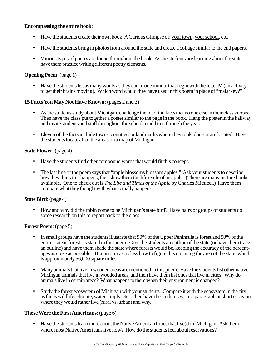#### **Encompassing the entire book**:

- Have the students create their own book: A Curious Glimpse of: your town, your school, etc.
- Have the students bring in photos from around the state and create a collage similar to the end papers.
- Various types of poetry are found throughout the book. As the students are learning about the state, have them practice writing different poetry elements.

#### **Opening Poem**: (page 1)

• Have the students list as many words as they can in one minute that begin with the letter M (an activity to get their brains moving). Which word would they have used in this poem in place of "malarkey?"

#### **15 Facts You May Not Have Known**: (pages 2 and 3)

- As the students study about Michigan, challenge them to find facts that no one else in their class knows. Then have the class put together a poster similar to the page in the book. Hang the poster in the hallway and invite students and staff throughout the school to add to it through the year.
- Eleven of the facts include towns, counties, or landmarks where they took place or are located. Have the students locate all of the areas on a map of Michigan.

#### **State Flower**: (page 4)

- Have the students find other compound words that would fit this concept.
- The last line of the poem says that "apple blossoms blossom apples." Ask your students to describe how they think this happens, then show them the life cycle of an apple. (There are many picture books available. One to check out is *The Life and Times of the Apple* by Charles Micucci.) Have them compare what they thought with what actually happens.

#### **State Bird**: (page 4)

• How and why did the robin come to be Michigan's state bird? Have pairs or groups of students do some research on this to report back to the class.

#### **Forest Poem**: (page 5)

- In small groups have the students illustrate that 90% of the Upper Peninsula is forest and 50% of the entire state is forest, as stated in this poem. Give the students an outline of the state (or have them trace an outline) and have them shade the state where forests would be, keeping the accuracy of the percentages as close as possible. Brainstorm as a class how to figure this out using the area of the state, which is approximately 56,000 square miles.
- Many animals that live in wooded areas are mentioned in this poem. Have the students list other native Michigan animals that live in wooded areas, and then have them list ones that live in cities. Why do animals live in certain areas? What happens to them when their environment is changed?
- Study the forest ecosystem of Michigan with your students. Compare it with the ecosystem in the city as far as wildlife, climate, water supply, etc. Then have the students write a paragraph or short essay on where they would rather live (rural vs. urban) and why.

#### **These Were the First Americans**: (page 6)

• Have the students learn more about the Native American tribes that live(d) in Michigan. Ask them where most Native Americans live now? How do the students feel about reservations?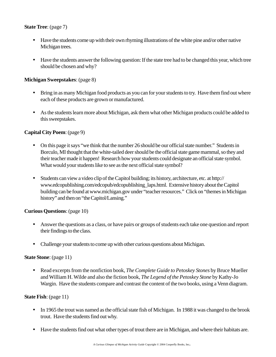# **State Tree**: (page 7)

- Have the students come up with their own rhyming illustrations of the white pine and/or other native Michigan trees.
- Have the students answer the following question: If the state tree had to be changed this year, which tree should be chosen and why?

# **Michigan Sweepstakes**: (page 8)

- Bring in as many Michigan food products as you can for your students to try. Have them find out where each of these products are grown or manufactured.
- As the students learn more about Michigan, ask them what other Michigan products could be added to this sweepstakes.

# **Capital City Poem**: (page 9)

- On this page it says "we think that the number 26 should be our official state number." Students in Borculo, MI thought that the white-tailed deer should be the official state game mammal, so they and their teacher made it happen! Research how your students could designate an official state symbol. What would your students like to see as the next official state symbol?
- Students can view a video clip of the Capitol building; its history, architecture, etc. at http:// www.edcopublishing.com/edcopub/edcopublishing\_laps.html. Extensive history about the Capitol building can be found at www.michigan.gov under "teacher resources." Click on "themes in Michigan history" and then on "the Capitol/Lansing."

# **Curious Questions**: (page 10)

- Answer the questions as a class, or have pairs or groups of students each take one question and report their findings to the class.
- Challenge your students to come up with other curious questions about Michigan.

# **State Stone**: (page 11)

• Read excerpts from the nonfiction book, *The Complete Guide to Petoskey Stones* by Bruce Mueller and William H. Wilde and also the fiction book, *The Legend of the Petoskey Stone* by Kathy-Jo Wargin. Have the students compare and contrast the content of the two books, using a Venn diagram.

# **State Fish**: (page 11)

- In 1965 the trout was named as the official state fish of Michigan. In 1988 it was changed to the brook trout. Have the students find out why.
- Have the students find out what other types of trout there are in Michigan, and where their habitats are.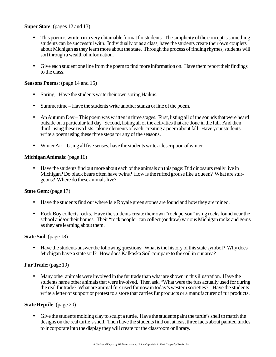#### **Super State**: (pages 12 and 13)

- This poem is written in a very obtainable format for students. The simplicity of the concept is something students can be successful with. Individually or as a class, have the students create their own couplets about Michigan as they learn more about the state. Through the process of finding rhymes, students will sort through a wealth of information.
- Give each student one line from the poem to find more information on. Have them report their findings to the class.

#### **Seasons Poems**: (page 14 and 15)

- Spring Have the students write their own spring Haikus.
- Summertime Have the students write another stanza or line of the poem.
- An Autumn Day This poem was written in three stages. First, listing all of the sounds that were heard outside on a particular fall day. Second, listing all of the activities that are done in the fall. And then third, using these two lists, taking elements of each, creating a poem about fall. Have your students write a poem using these three steps for any of the seasons.
- Winter Air Using all five senses, have the students write a description of winter.

#### **Michigan Animals**: (page 16)

• Have the students find out more about each of the animals on this page: Did dinosaurs really live in Michigan? Do black bears often have twins? How is the ruffed grouse like a queen? What are sturgeons? Where do these animals live?

# **State Gem**: (page 17)

- Have the students find out where Isle Royale green stones are found and how they are mined.
- Rock Boy collects rocks. Have the students create their own "rock person" using rocks found near the school and/or their homes. Their "rock people" can collect (or draw) various Michigan rocks and gems as they are learning about them.

#### **State Soil**: (page 18)

• Have the students answer the following questions: What is the history of this state symbol? Why does Michigan have a state soil? How does Kalkaska Soil compare to the soil in our area?

# **Fur Trade**: (page 19)

• Many other animals were involved in the fur trade than what are shown in this illustration. Have the students name other animals that were involved. Then ask, "What were the furs actually used for during the real fur trade? What are animal furs used for now in today's western societies?" Have the students write a letter of support or protest to a store that carries fur products or a manufacturer of fur products.

#### **State Reptile**: (page 20)

• Give the students molding clay to sculpt a turtle. Have the students paint the turtle's shell to match the designs on the real turtle's shell. Then have the students find out at least three facts about painted turtles to incorporate into the display they will create for the classroom or library.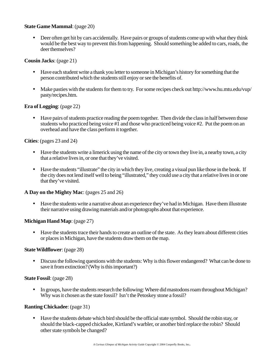# **State Game Mammal**: (page 20)

• Deer often get hit by cars accidentally. Have pairs or groups of students come up with what they think would be the best way to prevent this from happening. Should something be added to cars, roads, the deer themselves?

#### **Cousin Jacks**: (page 21)

- Have each student write a thank you letter to someone in Michigan's history for something that the person contributed which the students still enjoy or see the benefits of.
- Make pasties with the students for them to try. For some recipes check out http://www.hu.mtu.edu/vup/ pasty/recipes.htm.

# **Era of Logging**: (page 22)

• Have pairs of students practice reading the poem together. Then divide the class in half between those students who practiced being voice #1 and those who practiced being voice #2. Put the poem on an overhead and have the class perform it together.

# **Cities**: (pages 23 and 24)

- Have the students write a limerick using the name of the city or town they live in, a nearby town, a city that a relative lives in, or one that they've visited.
- Have the students "illustrate" the city in which they live, creating a visual pun like those in the book. If the city does not lend itself well to being "illustrated," they could use a city that a relative lives in or one that they've visited.

# **A Day on the Mighty Mac**: (pages 25 and 26)

• Have the students write a narrative about an experience they've had in Michigan. Have them illustrate their narrative using drawing materials and/or photographs about that experience.

# **Michigan Hand Map**: (page 27)

• Have the students trace their hands to create an outline of the state. As they learn about different cities or places in Michigan, have the students draw them on the map.

#### **State Wildflower**: (page 28)

• Discuss the following questions with the students: Why is this flower endangered? What can be done to save it from extinction? (Why is this important?)

#### **State Fossil**: (page 28)

• In groups, have the students research the following: Where did mastodons roam throughout Michigan? Why was it chosen as the state fossil? Isn't the Petoskey stone a fossil?

# **Ranting Chickadee**: (page 31)

• Have the students debate which bird should be the official state symbol. Should the robin stay, or should the black-capped chickadee, Kirtland's warbler, or another bird replace the robin? Should other state symbols be changed?